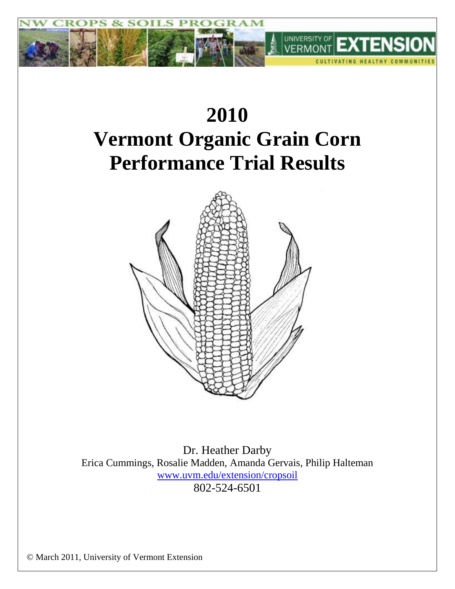

# **2010 Vermont Organic Grain Corn Performance Trial Results**



Dr. Heather Darby Erica Cummings, Rosalie Madden, Amanda Gervais, Philip Halteman [www.uvm.edu/extension/cropsoil](file:///C:/Documents%20and%20Settings/Heather/Local%20Settings/Temp/www.uvm.edu/extension/cropsoil) 802-524-6501

© March 2011, University of Vermont Extension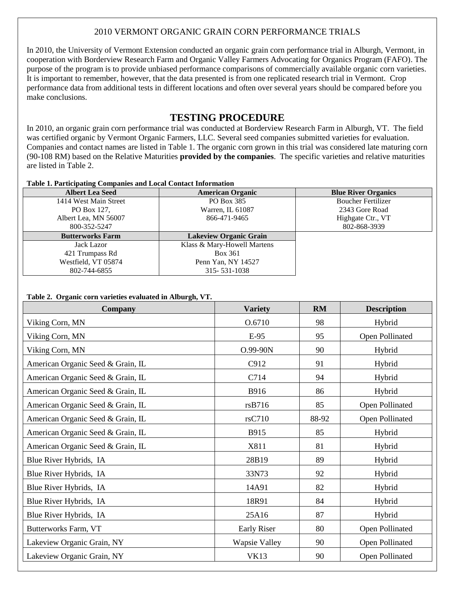## 2010 VERMONT ORGANIC GRAIN CORN PERFORMANCE TRIALS

In 2010, the University of Vermont Extension conducted an organic grain corn performance trial in Alburgh, Vermont, in cooperation with Borderview Research Farm and Organic Valley Farmers Advocating for Organics Program (FAFO). The purpose of the program is to provide unbiased performance comparisons of commercially available organic corn varieties. It is important to remember, however, that the data presented is from one replicated research trial in Vermont. Crop performance data from additional tests in different locations and often over several years should be compared before you make conclusions.

## **TESTING PROCEDURE**

In 2010, an organic grain corn performance trial was conducted at Borderview Research Farm in Alburgh, VT. The field was certified organic by Vermont Organic Farmers, LLC. Several seed companies submitted varieties for evaluation. Companies and contact names are listed in Table 1. The organic corn grown in this trial was considered late maturing corn (90-108 RM) based on the Relative Maturities **provided by the companies**. The specific varieties and relative maturities are listed in Table 2.

#### **Table 1. Participating Companies and Local Contact Information**

| <b>Albert Lea Seed</b>  | <b>American Organic</b>       | <b>Blue River Organics</b> |
|-------------------------|-------------------------------|----------------------------|
| 1414 West Main Street   | PO Box 385                    | <b>Boucher Fertilizer</b>  |
| PO Box 127.             | Warren, IL 61087              | 2343 Gore Road             |
| Albert Lea, MN 56007    | 866-471-9465                  | Highgate Ctr., VT          |
| 800-352-5247            |                               | 802-868-3939               |
| <b>Butterworks Farm</b> | <b>Lakeview Organic Grain</b> |                            |
| Jack Lazor              | Klass & Mary-Howell Martens   |                            |
| 421 Trumpass Rd         | Box 361                       |                            |
| Westfield, VT 05874     | Penn Yan, NY 14527            |                            |
| 802-744-6855            | 315-531-1038                  |                            |

#### **Table 2. Organic corn varieties evaluated in Alburgh, VT.**

| <b>Company</b>                    | <b>Variety</b>       | <b>RM</b> | <b>Description</b> |  |
|-----------------------------------|----------------------|-----------|--------------------|--|
| Viking Corn, MN                   | O.6710               | 98        | Hybrid             |  |
| Viking Corn, MN                   | $E-95$               | 95        | Open Pollinated    |  |
| Viking Corn, MN                   | O.99-90N             | 90        | Hybrid             |  |
| American Organic Seed & Grain, IL | C912                 | 91        | Hybrid             |  |
| American Organic Seed & Grain, IL | C714                 | 94        | Hybrid             |  |
| American Organic Seed & Grain, IL | B916                 | 86        | Hybrid             |  |
| American Organic Seed & Grain, IL | rsB716               | 85        | Open Pollinated    |  |
| American Organic Seed & Grain, IL | rsC710               | 88-92     | Open Pollinated    |  |
| American Organic Seed & Grain, IL | B915                 | 85        | Hybrid             |  |
| American Organic Seed & Grain, IL | X811                 | 81        | Hybrid             |  |
| Blue River Hybrids, IA            | 28B19                | 89        | Hybrid             |  |
| Blue River Hybrids, IA            | 33N73                | 92        | Hybrid             |  |
| Blue River Hybrids, IA            | 14A91                | 82        | Hybrid             |  |
| Blue River Hybrids, IA            | 18R91                | 84        | Hybrid             |  |
| Blue River Hybrids, IA            | 25A16                | 87        | Hybrid             |  |
| Butterworks Farm, VT              | <b>Early Riser</b>   | 80        | Open Pollinated    |  |
| Lakeview Organic Grain, NY        | <b>Wapsie Valley</b> | 90        | Open Pollinated    |  |
| Lakeview Organic Grain, NY        | <b>VK13</b>          | 90        | Open Pollinated    |  |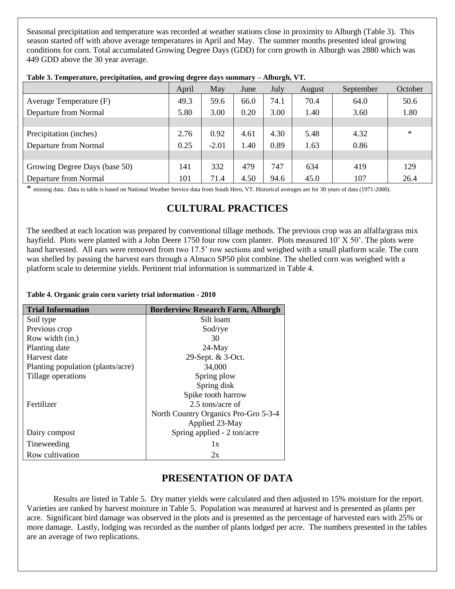Seasonal precipitation and temperature was recorded at weather stations close in proximity to Alburgh (Table 3). This season started off with above average temperatures in April and May. The summer months presented ideal growing conditions for corn. Total accumulated Growing Degree Days (GDD) for corn growth in Alburgh was 2880 which was 449 GDD above the 30 year average.

|                               | April | May     | June | July | August | September | October |
|-------------------------------|-------|---------|------|------|--------|-----------|---------|
| Average Temperature (F)       | 49.3  | 59.6    | 66.0 | 74.1 | 70.4   | 64.0      | 50.6    |
| Departure from Normal         | 5.80  | 3.00    | 0.20 | 3.00 | 1.40   | 3.60      | 1.80    |
|                               |       |         |      |      |        |           |         |
| Precipitation (inches)        | 2.76  | 0.92    | 4.61 | 4.30 | 5.48   | 4.32      | $\ast$  |
| Departure from Normal         | 0.25  | $-2.01$ | 1.40 | 0.89 | 1.63   | 0.86      |         |
|                               |       |         |      |      |        |           |         |
| Growing Degree Days (base 50) | 141   | 332     | 479  | 747  | 634    | 419       | 129     |
| Departure from Normal         | 101   | 71.4    | 4.50 | 94.6 | 45.0   | 107       | 26.4    |

| Table 3. Temperature, precipitation, and growing degree days summary - Alburgh, VT. |  |  |  |  |
|-------------------------------------------------------------------------------------|--|--|--|--|
|-------------------------------------------------------------------------------------|--|--|--|--|

\* missing data. Data in table is based on National Weather Service data from South Hero, VT. Historical averages are for 30 years of data (1971-2000).

## **CULTURAL PRACTICES**

The seedbed at each location was prepared by conventional tillage methods. The previous crop was an alfalfa/grass mix hayfield. Plots were planted with a John Deere 1750 four row corn planter. Plots measured 10' X 50'. The plots were hand harvested. All ears were removed from two 17.5' row sections and weighed with a small platform scale. The corn was shelled by passing the harvest ears through a Almaco SP50 plot combine. The shelled corn was weighed with a platform scale to determine yields. Pertinent trial information is summarized in Table 4.

#### **Table 4. Organic grain corn variety trial information - 2010**

| <b>Trial Information</b>          | <b>Borderview Research Farm, Alburgh</b> |
|-----------------------------------|------------------------------------------|
| Soil type                         | Silt loam                                |
| Previous crop                     | Sod/rye                                  |
| Row width (in.)                   | 30                                       |
| Planting date                     | $24$ -May                                |
| Harvest date                      | 29-Sept. & 3-Oct.                        |
| Planting population (plants/acre) | 34,000                                   |
| Tillage operations                | Spring plow                              |
|                                   | Spring disk                              |
|                                   | Spike tooth harrow                       |
| Fertilizer                        | 2.5 tons/acre of                         |
|                                   | North Country Organics Pro-Gro 5-3-4     |
|                                   | Applied 23-May                           |
| Dairy compost                     | Spring applied - 2 ton/acre              |
| Tineweeding                       | 1x                                       |
| Row cultivation                   | 2x                                       |

## **PRESENTATION OF DATA**

Results are listed in Table 5. Dry matter yields were calculated and then adjusted to 15% moisture for the report. Varieties are ranked by harvest moisture in Table 5. Population was measured at harvest and is presented as plants per acre. Significant bird damage was observed in the plots and is presented as the percentage of harvested ears with 25% or more damage. Lastly, lodging was recorded as the number of plants lodged per acre. The numbers presented in the tables are an average of two replications.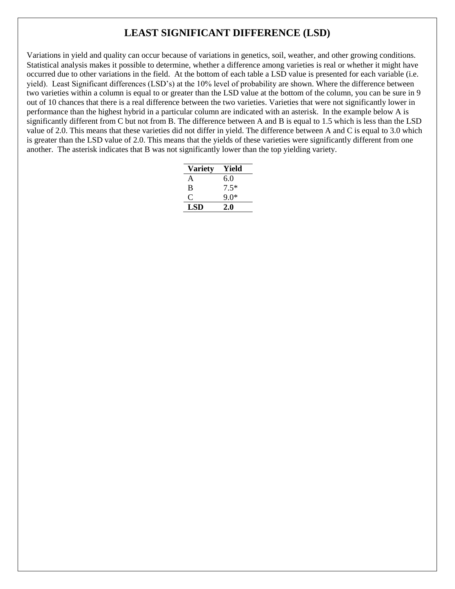# **LEAST SIGNIFICANT DIFFERENCE (LSD)**

Variations in yield and quality can occur because of variations in genetics, soil, weather, and other growing conditions. Statistical analysis makes it possible to determine, whether a difference among varieties is real or whether it might have occurred due to other variations in the field. At the bottom of each table a LSD value is presented for each variable (i.e. yield). Least Significant differences (LSD's) at the 10% level of probability are shown. Where the difference between two varieties within a column is equal to or greater than the LSD value at the bottom of the column, you can be sure in 9 out of 10 chances that there is a real difference between the two varieties. Varieties that were not significantly lower in performance than the highest hybrid in a particular column are indicated with an asterisk. In the example below A is significantly different from C but not from B. The difference between A and B is equal to 1.5 which is less than the LSD value of 2.0. This means that these varieties did not differ in yield. The difference between A and C is equal to 3.0 which is greater than the LSD value of 2.0. This means that the yields of these varieties were significantly different from one another. The asterisk indicates that B was not significantly lower than the top yielding variety.

| <b>Variety</b> | Yield  |
|----------------|--------|
| A              | 6.0    |
| B              | $7.5*$ |
| 0              | ዓ በ*   |
| LSD            | 2.0    |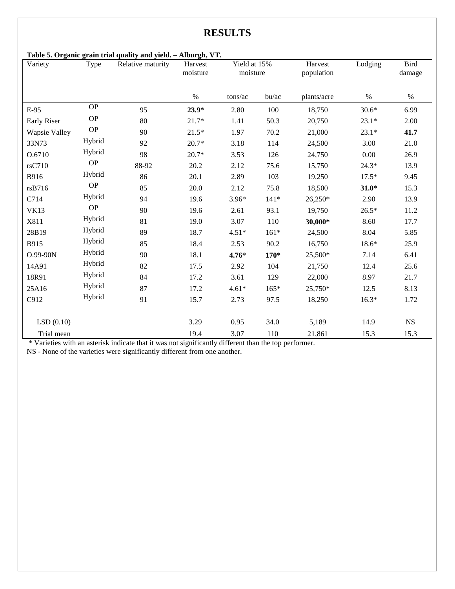# **RESULTS**

### **Table 5. Organic grain trial quality and yield. – Alburgh, VT.**

| Variety              | Type          | raoic oi Organic gram triai quanty and yieldi<br>Relative maturity | 111001619771<br>Harvest<br>moisture | Yield at 15%<br>moisture |         | Harvest<br>population | Lodging | Bird<br>damage |
|----------------------|---------------|--------------------------------------------------------------------|-------------------------------------|--------------------------|---------|-----------------------|---------|----------------|
|                      |               |                                                                    | $\%$                                | tons/ac                  | bu/ac   | plants/acre           | $\%$    | $\%$           |
| E-95                 | <b>OP</b>     | 95                                                                 | $23.9*$                             | 2.80                     | 100     | 18,750                | $30.6*$ | 6.99           |
| <b>Early Riser</b>   | <b>OP</b>     | 80                                                                 | $21.7*$                             | 1.41                     | 50.3    | 20,750                | $23.1*$ | 2.00           |
| <b>Wapsie Valley</b> | $\mathbf{OP}$ | 90                                                                 | $21.5*$                             | 1.97                     | 70.2    | 21,000                | $23.1*$ | 41.7           |
| 33N73                | Hybrid        | 92                                                                 | $20.7*$                             | 3.18                     | 114     | 24,500                | 3.00    | 21.0           |
| O.6710               | Hybrid        | 98                                                                 | $20.7*$                             | 3.53                     | 126     | 24,750                | 0.00    | 26.9           |
| rsC710               | <b>OP</b>     | 88-92                                                              | 20.2                                | 2.12                     | 75.6    | 15,750                | $24.3*$ | 13.9           |
| B916                 | Hybrid        | 86                                                                 | 20.1                                | 2.89                     | 103     | 19,250                | $17.5*$ | 9.45           |
| rsB716               | <b>OP</b>     | 85                                                                 | 20.0                                | 2.12                     | 75.8    | 18,500                | $31.0*$ | 15.3           |
| C714                 | Hybrid        | 94                                                                 | 19.6                                | $3.96*$                  | $141*$  | 26,250*               | 2.90    | 13.9           |
| <b>VK13</b>          | <b>OP</b>     | 90                                                                 | 19.6                                | 2.61                     | 93.1    | 19,750                | $26.5*$ | 11.2           |
| X811                 | Hybrid        | 81                                                                 | 19.0                                | 3.07                     | 110     | 30,000*               | 8.60    | 17.7           |
| 28B19                | Hybrid        | 89                                                                 | 18.7                                | $4.51*$                  | $161*$  | 24,500                | 8.04    | 5.85           |
| B915                 | Hybrid        | 85                                                                 | 18.4                                | 2.53                     | 90.2    | 16,750                | $18.6*$ | 25.9           |
| O.99-90N             | Hybrid        | 90                                                                 | 18.1                                | $4.76*$                  | $170*$  | 25,500*               | 7.14    | 6.41           |
| 14A91                | Hybrid        | 82                                                                 | 17.5                                | 2.92                     | 104     | 21,750                | 12.4    | 25.6           |
| 18R91                | Hybrid        | 84                                                                 | 17.2                                | 3.61                     | 129     | 22,000                | 8.97    | 21.7           |
| 25A16                | Hybrid        | 87                                                                 | 17.2                                | $4.61*$                  | $165*$  | 25,750*               | 12.5    | 8.13           |
| C912                 | Hybrid        | 91                                                                 | 15.7                                | 2.73                     | 97.5    | 18,250                | $16.3*$ | 1.72           |
| LSD(0.10)            |               |                                                                    | 3.29                                | 0.95                     | 34.0    | 5,189                 | 14.9    | $_{\rm NS}$    |
| Trial mean           |               |                                                                    | 19.4                                | 3.07                     | $110\,$ | 21,861                | 15.3    | 15.3           |

\* Varieties with an asterisk indicate that it was not significantly different than the top performer.

NS - None of the varieties were significantly different from one another.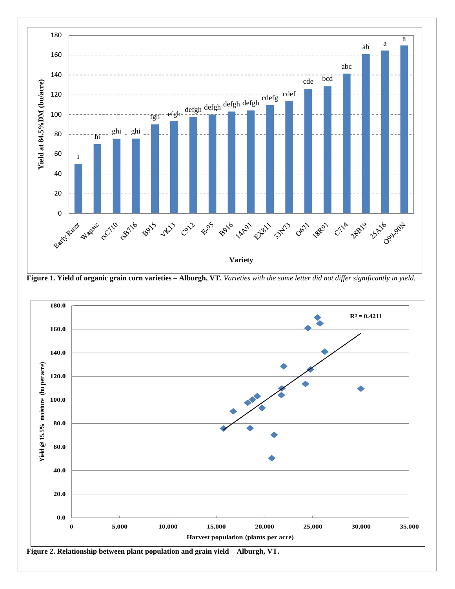

**Figure 1. Yield of organic grain corn varieties – Alburgh, VT.** *Varieties with the same letter did not differ significantly in yield.*



**Figure 2. Relationship between plant population and grain yield – Alburgh, VT.**